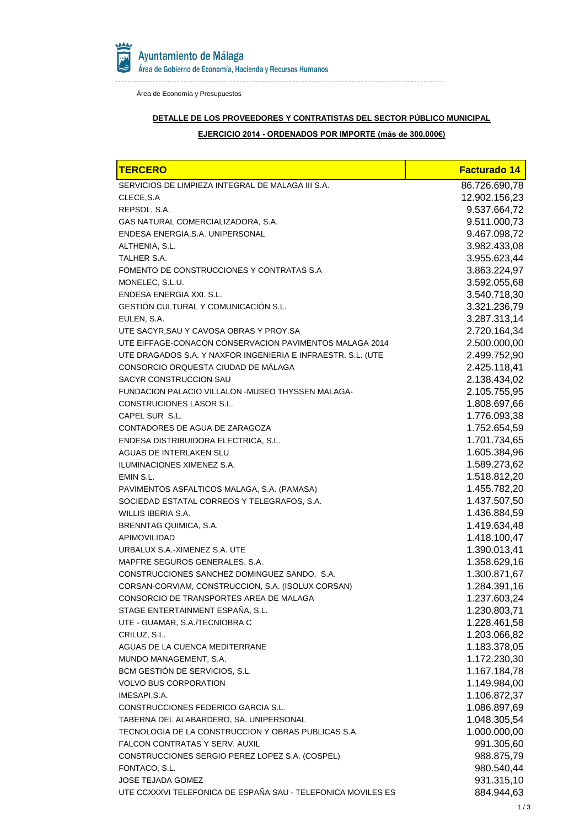

. . . . . . . . .

Área de Economía y Presupuestos

### **DETALLE DE LOS PROVEEDORES Y CONTRATISTAS DEL SECTOR PÚBLICO MUNICIPAL**

# **EJERCICIO 2014 - ORDENADOS POR IMPORTE (más de 300.000€)**

| <b>TERCERO</b>                                               | <b>Facturado 14</b> |
|--------------------------------------------------------------|---------------------|
| SERVICIOS DE LIMPIEZA INTEGRAL DE MALAGA III S.A.            | 86.726.690,78       |
| CLECE, S.A.                                                  | 12.902.156,23       |
| REPSOL, S.A.                                                 | 9.537.664,72        |
| GAS NATURAL COMERCIALIZADORA, S.A.                           | 9.511.000,73        |
| ENDESA ENERGIA, S.A. UNIPERSONAL                             | 9.467.098,72        |
| ALTHENIA, S.L.                                               | 3.982.433,08        |
| TALHER S.A.                                                  | 3.955.623,44        |
| FOMENTO DE CONSTRUCCIONES Y CONTRATAS S.A                    | 3.863.224,97        |
| MONELEC, S.L.U.                                              | 3.592.055,68        |
| ENDESA ENERGIA XXI. S.L.                                     | 3.540.718,30        |
| <b>GESTIÓN CULTURAL Y COMUNICACIÓN S.L.</b>                  | 3.321.236,79        |
| EULEN, S.A.                                                  | 3.287.313,14        |
| UTE SACYR, SAU Y CAVOSA OBRAS Y PROY. SA                     | 2.720.164,34        |
| UTE EIFFAGE-CONACON CONSERVACION PAVIMENTOS MALAGA 2014      | 2.500.000,00        |
| UTE DRAGADOS S.A. Y NAXFOR INGENIERIA E INFRAESTR. S.L. (UTE | 2.499.752,90        |
| CONSORCIO ORQUESTA CIUDAD DE MÁLAGA                          | 2.425.118,41        |
| SACYR CONSTRUCCION SAU                                       | 2.138.434,02        |
| FUNDACION PALACIO VILLALON -MUSEO THYSSEN MALAGA-            | 2.105.755,95        |
| CONSTRUCIONES LASOR S.L.                                     | 1.808.697,66        |
| CAPEL SUR S.L.                                               | 1.776.093,38        |
| CONTADORES DE AGUA DE ZARAGOZA                               | 1.752.654,59        |
| ENDESA DISTRIBUIDORA ELECTRICA, S.L.                         | 1.701.734,65        |
| AGUAS DE INTERLAKEN SLU                                      | 1.605.384,96        |
| ILUMINACIONES XIMENEZ S.A.                                   | 1.589.273,62        |
| EMIN S.L.                                                    | 1.518.812,20        |
| PAVIMENTOS ASFALTICOS MALAGA, S.A. (PAMASA)                  | 1.455.782,20        |
| SOCIEDAD ESTATAL CORREOS Y TELEGRAFOS, S.A.                  | 1.437.507,50        |
| WILLIS IBERIA S.A.                                           | 1.436.884,59        |
| BRENNTAG QUIMICA, S.A.                                       | 1.419.634,48        |
| <b>APIMOVILIDAD</b>                                          | 1.418.100,47        |
| URBALUX S.A.-XIMENEZ S.A. UTE                                | 1.390.013,41        |
| MAPFRE SEGUROS GENERALES, S.A.                               | 1.358.629,16        |
| CONSTRUCCIONES SANCHEZ DOMINGUEZ SANDO, S.A.                 | 1.300.871,67        |
| CORSAN-CORVIAM, CONSTRUCCION, S.A. (ISOLUX CORSAN)           | 1.284.391,16        |
| CONSORCIO DE TRANSPORTES AREA DE MALAGA                      | 1.237.603,24        |
| STAGE ENTERTAINMENT ESPAÑA, S.L.                             | 1.230.803,71        |
| UTE - GUAMAR, S.A./TECNIOBRA C                               | 1.228.461,58        |
| CRILUZ, S.L.                                                 | 1.203.066,82        |
| AGUAS DE LA CUENCA MEDITERRANE                               | 1.183.378,05        |
| MUNDO MANAGEMENT, S.A.                                       | 1.172.230,30        |
| BCM GESTIÓN DE SERVICIOS, S.L.                               | 1.167.184,78        |
| <b>VOLVO BUS CORPORATION</b>                                 | 1.149.984,00        |
| IMESAPI, S.A.                                                | 1.106.872,37        |
| CONSTRUCCIONES FEDERICO GARCIA S.L.                          | 1.086.897,69        |
| TABERNA DEL ALABARDERO, SA. UNIPERSONAL                      | 1.048.305,54        |
| TECNOLOGIA DE LA CONSTRUCCION Y OBRAS PUBLICAS S.A.          | 1.000.000,00        |
| FALCON CONTRATAS Y SERV. AUXIL                               | 991.305,60          |
| CONSTRUCCIONES SERGIO PEREZ LOPEZ S.A. (COSPEL)              | 988.875,79          |
| FONTACO, S.L.                                                | 980.540,44          |
| JOSE TEJADA GOMEZ                                            | 931.315,10          |
| UTE CCXXXVI TELEFONICA DE ESPAÑA SAU - TELEFONICA MOVILES ES | 884.944,63          |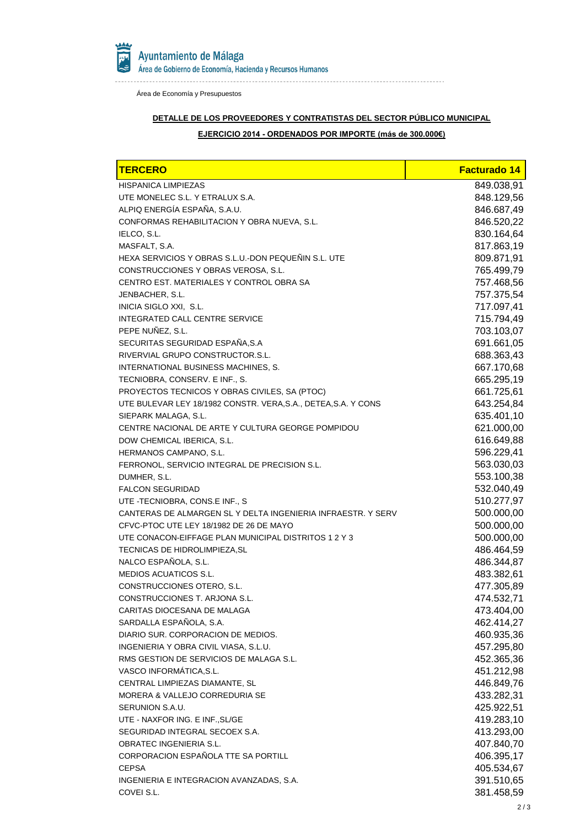

. . . . . . . . .

Área de Economía y Presupuestos

### **DETALLE DE LOS PROVEEDORES Y CONTRATISTAS DEL SECTOR PÚBLICO MUNICIPAL**

# **EJERCICIO 2014 - ORDENADOS POR IMPORTE (más de 300.000€)**

| <b>TERCERO</b>                                                 | <b>Facturado 14</b> |
|----------------------------------------------------------------|---------------------|
| <b>HISPANICA LIMPIEZAS</b>                                     | 849.038,91          |
| UTE MONELEC S.L. Y ETRALUX S.A.                                | 848.129,56          |
| ALPIQ ENERGÍA ESPAÑA, S.A.U.                                   | 846.687,49          |
| CONFORMAS REHABILITACION Y OBRA NUEVA, S.L.                    | 846.520,22          |
| IELCO, S.L.                                                    | 830.164,64          |
| MASFALT, S.A.                                                  | 817.863,19          |
| HEXA SERVICIOS Y OBRAS S.L.U.-DON PEQUEÑIN S.L. UTE            | 809.871,91          |
| CONSTRUCCIONES Y OBRAS VEROSA, S.L.                            | 765.499,79          |
| CENTRO EST. MATERIALES Y CONTROL OBRA SA                       | 757.468,56          |
| JENBACHER, S.L.                                                | 757.375,54          |
| INICIA SIGLO XXI, S.L.                                         | 717.097,41          |
| INTEGRATED CALL CENTRE SERVICE                                 | 715.794,49          |
| PEPE NUÑEZ, S.L.                                               | 703.103,07          |
| SECURITAS SEGURIDAD ESPAÑA, S.A                                | 691.661,05          |
| RIVERVIAL GRUPO CONSTRUCTOR.S.L.                               | 688.363,43          |
| INTERNATIONAL BUSINESS MACHINES, S.                            | 667.170,68          |
| TECNIOBRA, CONSERV. E INF., S.                                 | 665.295,19          |
| PROYECTOS TECNICOS Y OBRAS CIVILES, SA (PTOC)                  | 661.725,61          |
| UTE BULEVAR LEY 18/1982 CONSTR. VERA, S.A., DETEA, S.A. Y CONS | 643.254,84          |
| SIEPARK MALAGA, S.L.                                           | 635.401,10          |
| CENTRE NACIONAL DE ARTE Y CULTURA GEORGE POMPIDOU              | 621.000,00          |
| DOW CHEMICAL IBERICA, S.L.                                     | 616.649,88          |
| HERMANOS CAMPANO, S.L.                                         | 596.229,41          |
| FERRONOL, SERVICIO INTEGRAL DE PRECISION S.L.                  | 563.030,03          |
| DUMHER, S.L.                                                   | 553.100,38          |
| <b>FALCON SEGURIDAD</b>                                        | 532.040,49          |
| UTE - TECNIOBRA, CONS.E INF., S                                | 510.277,97          |
| CANTERAS DE ALMARGEN SL Y DELTA INGENIERIA INFRAESTR. Y SERV   | 500.000,00          |
| CFVC-PTOC UTE LEY 18/1982 DE 26 DE MAYO                        | 500.000,00          |
| UTE CONACON-EIFFAGE PLAN MUNICIPAL DISTRITOS 1 2 Y 3           | 500.000,00          |
| TECNICAS DE HIDROLIMPIEZA, SL                                  | 486.464,59          |
| NALCO ESPAÑOLA, S.L.                                           | 486.344,87          |
| <b>MEDIOS ACUATICOS S.L.</b>                                   | 483.382,61          |
| CONSTRUCCIONES OTERO, S.L.                                     | 477.305,89          |
| CONSTRUCCIONES T. ARJONA S.L                                   | 474.532,71          |
| CARITAS DIOCESANA DE MALAGA                                    | 473.404,00          |
| SARDALLA ESPAÑOLA, S.A.                                        | 462.414,27          |
| DIARIO SUR. CORPORACION DE MEDIOS.                             | 460.935,36          |
| INGENIERIA Y OBRA CIVIL VIASA, S.L.U.                          | 457.295,80          |
| RMS GESTION DE SERVICIOS DE MALAGA S.L.                        | 452.365,36          |
| VASCO INFORMÁTICA, S.L.                                        | 451.212,98          |
| CENTRAL LIMPIEZAS DIAMANTE, SL                                 | 446.849,76          |
| MORERA & VALLEJO CORREDURIA SE                                 | 433.282,31          |
| SERUNION S.A.U.                                                | 425.922,51          |
| UTE - NAXFOR ING. E INF., SL/GE                                | 419.283,10          |
| SEGURIDAD INTEGRAL SECOEX S.A.                                 | 413.293,00          |
| OBRATEC INGENIERIA S.L.                                        | 407.840,70          |
| CORPORACION ESPAÑOLA TTE SA PORTILL                            | 406.395,17          |
| <b>CEPSA</b>                                                   | 405.534,67          |
| INGENIERIA E INTEGRACION AVANZADAS, S.A.                       | 391.510,65          |
| COVEI S.L.                                                     | 381.458,59          |